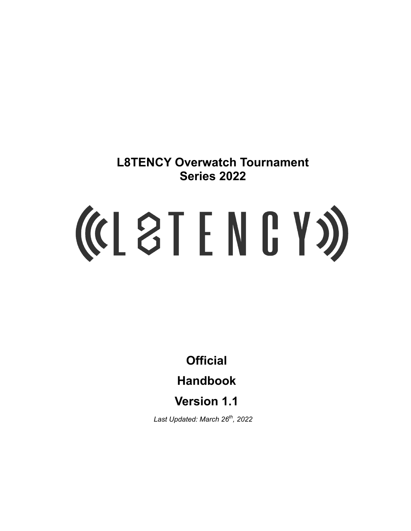**L8TENCY Overwatch Tournament Series 2022**

# (CL 8T E N G Y S)

**Official**

**Handbook**

**Version 1.1**

*Last Updated: March 26th , 2022*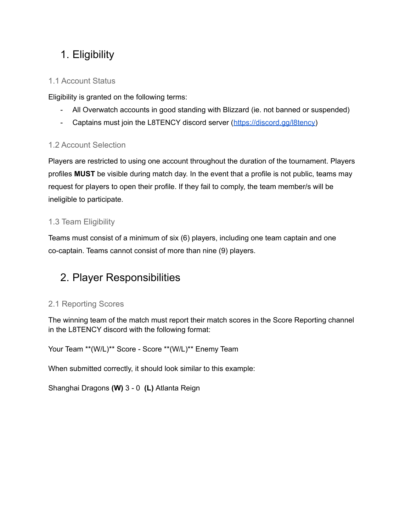# 1. Eligibility

## 1.1 Account Status

Eligibility is granted on the following terms:

- All Overwatch accounts in good standing with Blizzard (ie. not banned or suspended)
- Captains must join the L8TENCY discord server ([https://discord.gg/l8tency\)](https://discord.gg/l8tency)

## 1.2 Account Selection

Players are restricted to using one account throughout the duration of the tournament. Players profiles **MUST** be visible during match day. In the event that a profile is not public, teams may request for players to open their profile. If they fail to comply, the team member/s will be ineligible to participate.

## 1.3 Team Eligibility

Teams must consist of a minimum of six (6) players, including one team captain and one co-captain. Teams cannot consist of more than nine (9) players.

# 2. Player Responsibilities

## 2.1 Reporting Scores

The winning team of the match must report their match scores in the Score Reporting channel in the L8TENCY discord with the following format:

```
Your Team **(W/L)** Score - Score **(W/L)** Enemy Team
```
When submitted correctly, it should look similar to this example:

Shanghai Dragons **(W)** 3 - 0 **(L)** Atlanta Reign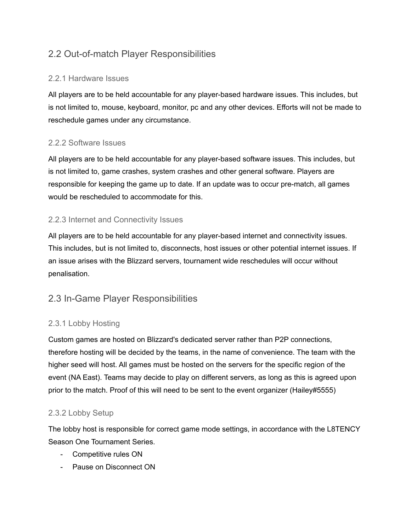## 2.2 Out-of-match Player Responsibilities

## 2.2.1 Hardware Issues

All players are to be held accountable for any player-based hardware issues. This includes, but is not limited to, mouse, keyboard, monitor, pc and any other devices. Efforts will not be made to reschedule games under any circumstance.

## 2.2.2 Software Issues

All players are to be held accountable for any player-based software issues. This includes, but is not limited to, game crashes, system crashes and other general software. Players are responsible for keeping the game up to date. If an update was to occur pre-match, all games would be rescheduled to accommodate for this.

## 2.2.3 Internet and Connectivity Issues

All players are to be held accountable for any player-based internet and connectivity issues. This includes, but is not limited to, disconnects, host issues or other potential internet issues. If an issue arises with the Blizzard servers, tournament wide reschedules will occur without penalisation.

## 2.3 In-Game Player Responsibilities

## 2.3.1 Lobby Hosting

Custom games are hosted on Blizzard's dedicated server rather than P2P connections, therefore hosting will be decided by the teams, in the name of convenience. The team with the higher seed will host. All games must be hosted on the servers for the specific region of the event (NA East). Teams may decide to play on different servers, as long as this is agreed upon prior to the match. Proof of this will need to be sent to the event organizer (Hailey#5555)

## 2.3.2 Lobby Setup

The lobby host is responsible for correct game mode settings, in accordance with the L8TENCY Season One Tournament Series.

- Competitive rules ON
- Pause on Disconnect ON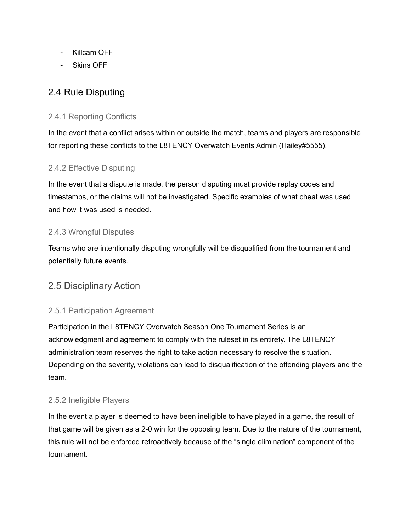- Killcam OFF
- Skins OFF

## 2.4 Rule Disputing

## 2.4.1 Reporting Conflicts

In the event that a conflict arises within or outside the match, teams and players are responsible for reporting these conflicts to the L8TENCY Overwatch Events Admin (Hailey#5555).

## 2.4.2 Effective Disputing

In the event that a dispute is made, the person disputing must provide replay codes and timestamps, or the claims will not be investigated. Specific examples of what cheat was used and how it was used is needed.

#### 2.4.3 Wrongful Disputes

Teams who are intentionally disputing wrongfully will be disqualified from the tournament and potentially future events.

## 2.5 Disciplinary Action

#### 2.5.1 Participation Agreement

Participation in the L8TENCY Overwatch Season One Tournament Series is an acknowledgment and agreement to comply with the ruleset in its entirety. The L8TENCY administration team reserves the right to take action necessary to resolve the situation. Depending on the severity, violations can lead to disqualification of the offending players and the team.

#### 2.5.2 Ineligible Players

In the event a player is deemed to have been ineligible to have played in a game, the result of that game will be given as a 2-0 win for the opposing team. Due to the nature of the tournament, this rule will not be enforced retroactively because of the "single elimination" component of the tournament.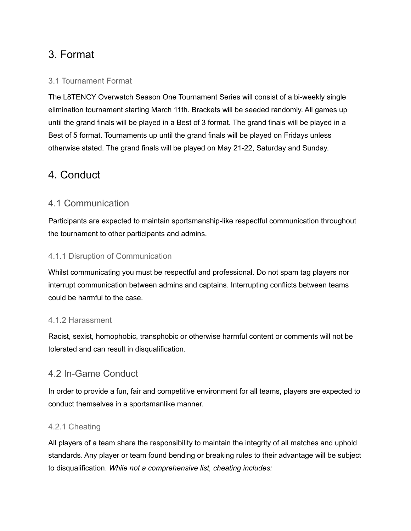# 3. Format

## 3.1 Tournament Format

The L8TENCY Overwatch Season One Tournament Series will consist of a bi-weekly single elimination tournament starting March 11th. Brackets will be seeded randomly. All games up until the grand finals will be played in a Best of 3 format. The grand finals will be played in a Best of 5 format. Tournaments up until the grand finals will be played on Fridays unless otherwise stated. The grand finals will be played on May 21-22, Saturday and Sunday.

# 4. Conduct

## 4.1 Communication

Participants are expected to maintain sportsmanship-like respectful communication throughout the tournament to other participants and admins.

## 4.1.1 Disruption of Communication

Whilst communicating you must be respectful and professional. Do not spam tag players nor interrupt communication between admins and captains. Interrupting conflicts between teams could be harmful to the case.

## 4.1.2 Harassment

Racist, sexist, homophobic, transphobic or otherwise harmful content or comments will not be tolerated and can result in disqualification.

## 4.2 In-Game Conduct

In order to provide a fun, fair and competitive environment for all teams, players are expected to conduct themselves in a sportsmanlike manner.

## 4.2.1 Cheating

All players of a team share the responsibility to maintain the integrity of all matches and uphold standards. Any player or team found bending or breaking rules to their advantage will be subject to disqualification. *While not a comprehensive list, cheating includes:*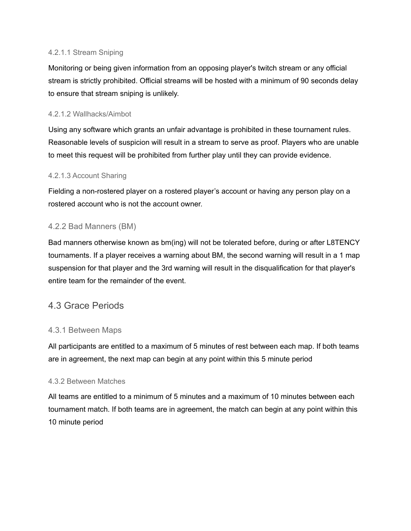#### 4.2.1.1 Stream Sniping

Monitoring or being given information from an opposing player's twitch stream or any official stream is strictly prohibited. Official streams will be hosted with a minimum of 90 seconds delay to ensure that stream sniping is unlikely.

#### 4.2.1.2 Wallhacks/Aimbot

Using any software which grants an unfair advantage is prohibited in these tournament rules. Reasonable levels of suspicion will result in a stream to serve as proof. Players who are unable to meet this request will be prohibited from further play until they can provide evidence.

#### 4.2.1.3 Account Sharing

Fielding a non-rostered player on a rostered player's account or having any person play on a rostered account who is not the account owner.

#### 4.2.2 Bad Manners (BM)

Bad manners otherwise known as bm(ing) will not be tolerated before, during or after L8TENCY tournaments. If a player receives a warning about BM, the second warning will result in a 1 map suspension for that player and the 3rd warning will result in the disqualification for that player's entire team for the remainder of the event.

## 4.3 Grace Periods

#### 4.3.1 Between Maps

All participants are entitled to a maximum of 5 minutes of rest between each map. If both teams are in agreement, the next map can begin at any point within this 5 minute period

#### 4.3.2 Between Matches

All teams are entitled to a minimum of 5 minutes and a maximum of 10 minutes between each tournament match. If both teams are in agreement, the match can begin at any point within this 10 minute period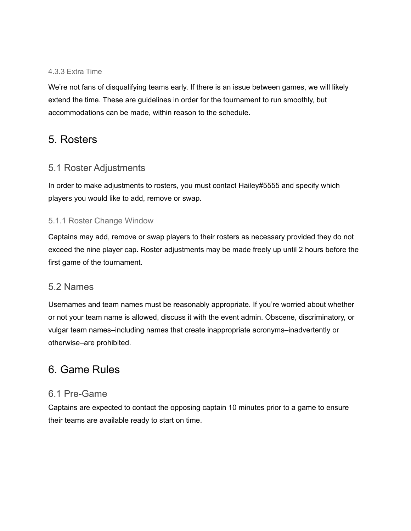#### 4.3.3 Extra Time

We're not fans of disqualifying teams early. If there is an issue between games, we will likely extend the time. These are guidelines in order for the tournament to run smoothly, but accommodations can be made, within reason to the schedule.

## 5. Rosters

## 5.1 Roster Adjustments

In order to make adjustments to rosters, you must contact Hailey#5555 and specify which players you would like to add, remove or swap.

#### 5.1.1 Roster Change Window

Captains may add, remove or swap players to their rosters as necessary provided they do not exceed the nine player cap. Roster adjustments may be made freely up until 2 hours before the first game of the tournament.

#### 5.2 Names

Usernames and team names must be reasonably appropriate. If you're worried about whether or not your team name is allowed, discuss it with the event admin. Obscene, discriminatory, or vulgar team names–including names that create inappropriate acronyms–inadvertently or otherwise–are prohibited.

# 6. Game Rules

## 6.1 Pre-Game

Captains are expected to contact the opposing captain 10 minutes prior to a game to ensure their teams are available ready to start on time.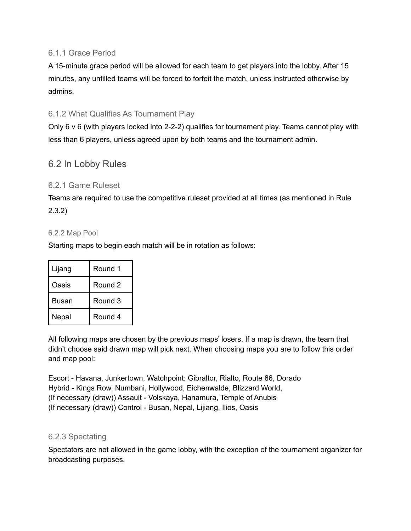#### 6.1.1 Grace Period

A 15-minute grace period will be allowed for each team to get players into the lobby. After 15 minutes, any unfilled teams will be forced to forfeit the match, unless instructed otherwise by admins.

## 6.1.2 What Qualifies As Tournament Play

Only 6 v 6 (with players locked into 2-2-2) qualifies for tournament play. Teams cannot play with less than 6 players, unless agreed upon by both teams and the tournament admin.

## 6.2 In Lobby Rules

#### 6.2.1 Game Ruleset

Teams are required to use the competitive ruleset provided at all times (as mentioned in Rule 2.3.2)

#### 6.2.2 Map Pool

Starting maps to begin each match will be in rotation as follows:

| Lijang | Round 1 |
|--------|---------|
| Oasis  | Round 2 |
| Busan  | Round 3 |
| Nepal  | Round 4 |

All following maps are chosen by the previous maps' losers. If a map is drawn, the team that didn't choose said drawn map will pick next. When choosing maps you are to follow this order and map pool:

Escort - Havana, Junkertown, Watchpoint: Gibraltor, Rialto, Route 66, Dorado Hybrid - Kings Row, Numbani, Hollywood, Eichenwalde, Blizzard World, (If necessary (draw)) Assault - Volskaya, Hanamura, Temple of Anubis (If necessary (draw)) Control - Busan, Nepal, Lijiang, Ilios, Oasis

#### 6.2.3 Spectating

Spectators are not allowed in the game lobby, with the exception of the tournament organizer for broadcasting purposes.